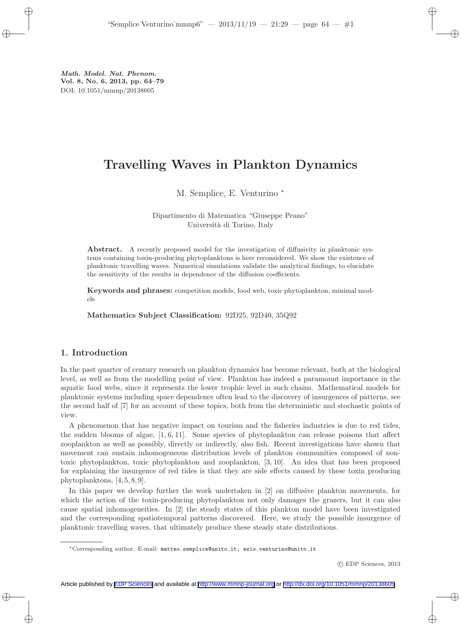# Travelling Waves in Plankton Dynamics

M. Semplice, E. Venturino <sup>∗</sup>

Dipartimento di Matematica "Giuseppe Peano" Università di Torino, Italy

Abstract. A recently proposed model for the investigation of diffusivity in planktonic systems containing toxin-producing phytoplanktons is here reconsidered. We show the existence of planktonic travelling waves. Numerical simulations validate the analytical findings, to elucidate the sensitivity of the results in dependence of the diffusion coefficients.

Keywords and phrases: competition models, food web, toxic phytoplankton, minimal models

Mathematics Subject Classification: 92D25, 92D40, 35Q92

# 1. Introduction

In the past quarter of century research on plankton dynamics has become relevant, both at the biological level, as well as from the modelling point of view. Plankton has indeed a paramount importance in the aquatic food webs, since it represents the lower trophic level in such chains. Mathematical models for planktonic systems including space dependence often lead to the discovery of insurgences of patterns, see the second half of [7] for an account of these topics, both from the deterministic and stochastic points of view.

A phenomenon that has negative impact on tourism and the fisheries industries is due to red tides, the sudden blooms of algae, [1, 6, 11]. Some species of phytoplankton can release poisons that affect zooplankton as well as possibly, directly or indirectly, also fish. Recent investigations have shown that movement can sustain inhomogeneous distribution levels of plankton communities composed of nontoxic phytoplankton, toxic phytoplankton and zooplankton, [3, 10]. An idea that has been proposed for explaining the insurgence of red tides is that they are side effects caused by these toxin producing phytoplanktons, [4, 5, 8, 9].

In this paper we develop further the work undertaken in [2] on diffusive plankton movements, for which the action of the toxin-producing phytoplankton not only damages the grazers, but it can also cause spatial inhomogeneities. In [2] the steady states of this plankton model have been investigated and the corresponding spatiotemporal patterns discovered. Here, we study the possible insurgence of planktonic travelling waves, that ultimately produce these steady state distributions.

<sup>∗</sup>Corresponding author. E-mail: matteo.semplice@unito.it, ezio.venturino@unito.it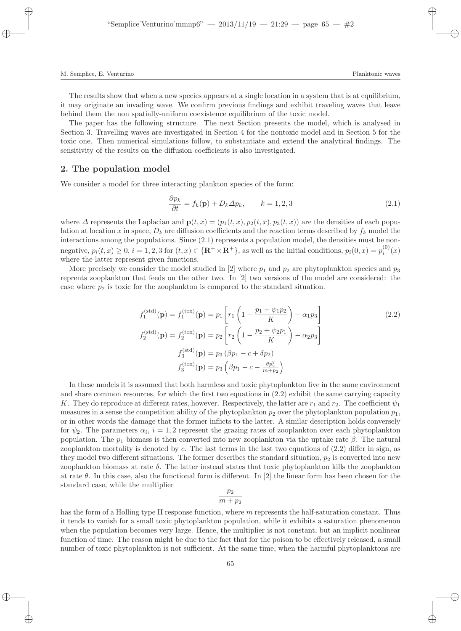The results show that when a new species appears at a single location in a system that is at equilibrium, it may originate an invading wave. We confirm previous findings and exhibit traveling waves that leave behind them the non spatially-uniform coexistence equilibrium of the toxic model.

The paper has the following structure. The next Section presents the model, which is analysed in Section 3. Travelling waves are investigated in Section 4 for the nontoxic model and in Section 5 for the toxic one. Then numerical simulations follow, to substantiate and extend the analytical findings. The sensitivity of the results on the diffusion coefficients is also investigated.

## 2. The population model

We consider a model for three interacting plankton species of the form:

$$
\frac{\partial p_k}{\partial t} = f_k(\mathbf{p}) + D_k \Delta p_k, \qquad k = 1, 2, 3 \tag{2.1}
$$

where  $\Delta$  represents the Laplacian and  $\mathbf{p}(t,x) = (p_1(t,x), p_2(t,x), p_3(t,x))$  are the densities of each population at location x in space,  $D_k$  are diffusion coefficients and the reaction terms described by  $f_k$  model the interactions among the populations. Since (2.1) represents a population model, the densities must be nonnegative,  $p_i(t, x) \ge 0$ ,  $i = 1, 2, 3$  for  $(t, x) \in {\mathbf{R}^+ \times \mathbf{R}^+}$ , as well as the initial conditions,  $p_i(0, x) = p_i^{(0)}(x)$ where the latter represent given functions.

More precisely we consider the model studied in [2] where  $p_1$  and  $p_2$  are phytoplankton species and  $p_3$ reprents zooplankton that feeds on the other two. In [2] two versions of the model are considered: the case where  $p_2$  is toxic for the zooplankton is compared to the standard situation.

$$
f_1^{\text{(std)}}(\mathbf{p}) = f_1^{\text{(tox)}}(\mathbf{p}) = p_1 \left[ r_1 \left( 1 - \frac{p_1 + \psi_1 p_2}{K} \right) - \alpha_1 p_3 \right]
$$
  
\n
$$
f_2^{\text{(std)}}(\mathbf{p}) = f_2^{\text{(tox)}}(\mathbf{p}) = p_2 \left[ r_2 \left( 1 - \frac{p_2 + \psi_2 p_1}{K} \right) - \alpha_2 p_3 \right]
$$
  
\n
$$
f_3^{\text{(std)}}(\mathbf{p}) = p_3 \left( \beta p_1 - c + \delta p_2 \right)
$$
  
\n
$$
f_3^{\text{(tox)}}(\mathbf{p}) = p_3 \left( \beta p_1 - c - \frac{\theta p_2^2}{m + p_2} \right)
$$
  
\n(2.2)

In these models it is assumed that both harmless and toxic phytoplankton live in the same environment and share common resources, for which the first two equations in (2.2) exhibit the same carrying capacity K. They do reproduce at different rates, however. Respectively, the latter are  $r_1$  and  $r_2$ . The coefficient  $\psi_1$ measures in a sense the competition ability of the phytoplankton  $p_2$  over the phytoplankton population  $p_1$ , or in other words the damage that the former inflicts to the latter. A similar description holds conversely for  $\psi_2$ . The parameters  $\alpha_i$ ,  $i = 1, 2$  represent the grazing rates of zooplankton over each phytoplankton population. The  $p_1$  biomass is then converted into new zooplankton via the uptake rate  $\beta$ . The natural zooplankton mortality is denoted by  $c$ . The last terms in the last two equations of  $(2.2)$  differ in sign, as they model two different situations. The former describes the standard situation,  $p_2$  is converted into new zooplankton biomass at rate  $\delta$ . The latter instead states that toxic phytoplankton kills the zooplankton at rate  $\theta$ . In this case, also the functional form is different. In [2] the linear form has been chosen for the standard case, while the multiplier

$$
\frac{p_2}{m+p_2}
$$

has the form of a Holling type II response function, where m represents the half-saturation constant. Thus it tends to vanish for a small toxic phytoplankton population, while it exhibits a saturation phenomenon when the population becomes very large. Hence, the multiplier is not constant, but an implicit nonlinear function of time. The reason might be due to the fact that for the poison to be effectively released, a small number of toxic phytoplankton is not sufficient. At the same time, when the harmful phytoplanktons are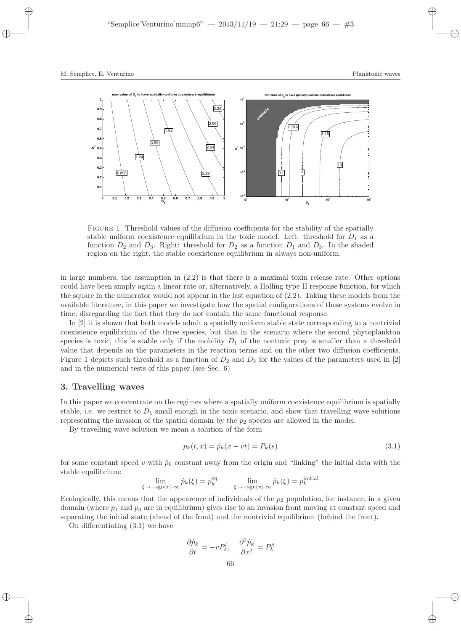

Figure 1. Threshold values of the diffusion coefficients for the stability of the spatially stable uniform coexistence equilibrium in the toxic model. Left: threshold for  $D_1$  as a function  $D_2$  and  $D_3$ . Right: threshold for  $D_2$  as a function  $D_1$  and  $D_3$ . In the shaded region on the right, the stable coexistence equilibrium in always non-uniform.

in large numbers, the assumption in  $(2.2)$  is that there is a maximal toxin release rate. Other options could have been simply again a linear rate or, alternatively, a Holling type II response function, for which the square in the numerator would not appear in the last equation of (2.2). Taking these models from the available literature, in this paper we investigate how the spatial configurations of these systems evolve in time, disregarding the fact that they do not contain the same functional response.

In [2] it is shown that both models admit a spatially uniform stable state corresponding to a nontrivial coexistence equilibrium of the three species, but that in the scenario where the second phytoplankton species is toxic, this is stable only if the mobility  $D_1$  of the nontoxic prey is smaller than a threshold value that depends on the parameters in the reaction terms and on the other two diffusion coefficients. Figure 1 depicts such threshold as a function of  $D_2$  and  $D_3$  for the values of the parameters used in [2] and in the numerical tests of this paper (see Sec. 6)

## 3. Travelling waves

In this paper we concentrate on the regimes where a spatially uniform coexistence equilibrium is spatially stable, i.e. we restrict to  $D_1$  small enough in the toxic scenario, and show that travelling wave solutions representing the invasion of the spatial domain by the  $p_2$  species are allowed in the model.

By travelling wave solution we mean a solution of the form

$$
p_k(t, x) = \hat{p}_k(x - vt) = P_k(s)
$$
\n(3.1)

for some constant speed v with  $\hat{p}_k$  constant away from the origin and "linking" the initial data with the stable equilibrium:

$$
\lim_{\xi \to -\text{sgn}(v) \cdot \infty} \hat{p}_k(\xi) = p_k^{\text{eq}} \qquad \lim_{\xi \to +\text{sgn}(v) \cdot \infty} \hat{p}_k(\xi) = p_k^{\text{initial}}
$$

Ecologically, this means that the appearence of individuals of the  $p_2$  population, for instance, in a given domain (where  $p_1$  and  $p_3$  are in equilibrium) gives rise to an invasion front moving at constant speed and separating the initial state (ahead of the front) and the nontrivial equilibrium (behind the front).

On differentiating (3.1) we have

$$
\frac{\partial \hat{p}_k}{\partial t} = -v P'_k, \quad \frac{\partial^2 \hat{p}_k}{\partial x^2} = P''_k
$$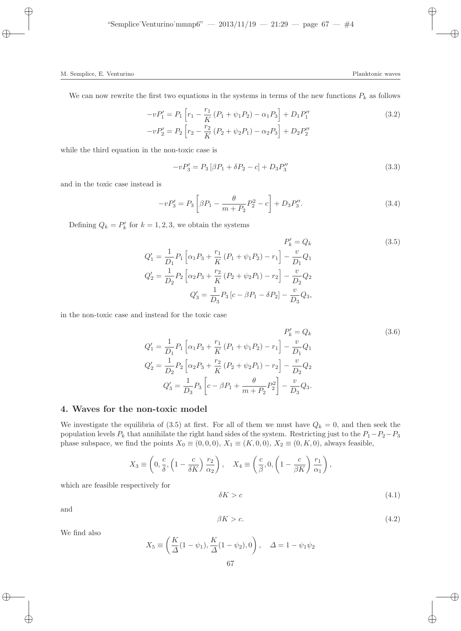$$
-vP'_1 = P_1 \left[ r_1 - \frac{r_1}{K} \left( P_1 + \psi_1 P_2 \right) - \alpha_1 P_3 \right] + D_1 P''_1
$$
  

$$
-vP'_2 = P_2 \left[ r_2 - \frac{r_2}{K} \left( P_2 + \psi_2 P_1 \right) - \alpha_2 P_3 \right] + D_2 P''_2
$$
 (3.2)

while the third equation in the non-toxic case is

$$
-vP'_3 = P_3[\beta P_1 + \delta P_2 - c] + D_3 P''_3 \tag{3.3}
$$

and in the toxic case instead is

$$
-vP'_3 = P_3 \left[ \beta P_1 - \frac{\theta}{m+P_2} P_2^2 - c \right] + D_3 P_3''.
$$
 (3.4)

Defining  $Q_k = P'_k$  for  $k = 1, 2, 3$ , we obtain the systems

$$
P'_{k} = Q_{k}
$$
\n
$$
Q'_{1} = \frac{1}{D_{1}} P_{1} \left[ \alpha_{1} P_{3} + \frac{r_{1}}{K} \left( P_{1} + \psi_{1} P_{2} \right) - r_{1} \right] - \frac{v}{D_{1}} Q_{1}
$$
\n
$$
Q'_{2} = \frac{1}{D_{2}} P_{2} \left[ \alpha_{2} P_{3} + \frac{r_{2}}{K} \left( P_{2} + \psi_{2} P_{1} \right) - r_{2} \right] - \frac{v}{D_{2}} Q_{2}
$$
\n
$$
Q'_{3} = \frac{1}{D_{3}} P_{3} \left[ c - \beta P_{1} - \delta P_{2} \right] - \frac{v}{D_{3}} Q_{3},
$$
\n
$$
(3.5)
$$

in the non-toxic case and instead for the toxic case

$$
P'_{k} = Q_{k}
$$
\n
$$
Q'_{1} = \frac{1}{D_{1}} P_{1} \left[ \alpha_{1} P_{3} + \frac{r_{1}}{K} (P_{1} + \psi_{1} P_{2}) - r_{1} \right] - \frac{v}{D_{1}} Q_{1}
$$
\n
$$
Q'_{2} = \frac{1}{D_{2}} P_{2} \left[ \alpha_{2} P_{3} + \frac{r_{2}}{K} (P_{2} + \psi_{2} P_{1}) - r_{2} \right] - \frac{v}{D_{2}} Q_{2}
$$
\n
$$
Q'_{3} = \frac{1}{D_{3}} P_{3} \left[ c - \beta P_{1} + \frac{\theta}{m + P_{2}} P_{2}^{2} \right] - \frac{v}{D_{3}} Q_{3}.
$$
\n(3.6)

## 4. Waves for the non-toxic model

We investigate the equilibria of (3.5) at first. For all of them we must have  $Q_k = 0$ , and then seek the population levels  $P_k$  that annihilate the right hand sides of the system. Restricting just to the  $P_1-P_2-P_3$ phase subspace, we find the points  $X_0 \equiv (0, 0, 0), X_1 \equiv (K, 0, 0), X_2 \equiv (0, K, 0)$ , always feasible,

$$
X_3 \equiv \left(0, \frac{c}{\delta}, \left(1 - \frac{c}{\delta K}\right) \frac{r_2}{\alpha_2}\right), \quad X_4 \equiv \left(\frac{c}{\beta}, 0, \left(1 - \frac{c}{\beta K}\right) \frac{r_1}{\alpha_1}\right),\,
$$

which are feasible respectively for

$$
\delta K > c \tag{4.1}
$$

and

$$
\beta K > c. \tag{4.2}
$$

We find also

$$
X_5 \equiv \left(\frac{K}{\Delta}(1-\psi_1), \frac{K}{\Delta}(1-\psi_2), 0\right), \quad \Delta = 1 - \psi_1 \psi_2
$$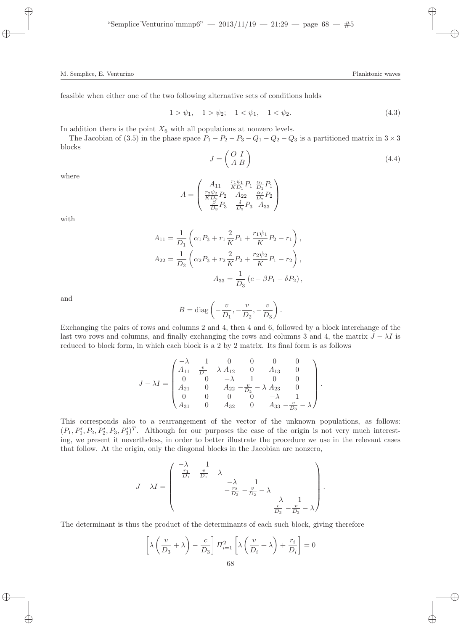$$
1 > \psi_1, \quad 1 > \psi_2; \quad 1 < \psi_1, \quad 1 < \psi_2. \tag{4.3}
$$

In addition there is the point  $X_6$  with all populations at nonzero levels.

The Jacobian of (3.5) in the phase space  $P_1 - P_2 - P_3 - Q_1 - Q_2 - Q_3$  is a partitioned matrix in  $3 \times 3$ blocks

$$
J = \begin{pmatrix} O & I \\ A & B \end{pmatrix} \tag{4.4}
$$

.

where

$$
A = \begin{pmatrix} A_{11} & \frac{r_1 \psi_1}{KD_1} P_1 & \frac{\alpha_1}{D_1} P_1 \\ \frac{r_2 \psi_2}{KD_2} P_2 & A_{22} & \frac{\alpha_2}{D_2} P_2 \\ -\frac{\beta}{D_3} P_3 & -\frac{\delta}{D_3} P_3 & A_{33} \end{pmatrix}
$$

with

$$
A_{11} = \frac{1}{D_1} \left( \alpha_1 P_3 + r_1 \frac{2}{K} P_1 + \frac{r_1 \psi_1}{K} P_2 - r_1 \right),
$$
  
\n
$$
A_{22} = \frac{1}{D_2} \left( \alpha_2 P_3 + r_2 \frac{2}{K} P_2 + \frac{r_2 \psi_2}{K} P_1 - r_2 \right),
$$
  
\n
$$
A_{33} = \frac{1}{D_3} \left( c - \beta P_1 - \delta P_2 \right),
$$

and

$$
B = \text{diag}\left(-\frac{v}{D_1}, -\frac{v}{D_2}, -\frac{v}{D_3}\right).
$$

Exchanging the pairs of rows and columns 2 and 4, then 4 and 6, followed by a block interchange of the last two rows and columns, and finally exchanging the rows and columns 3 and 4, the matrix  $J - \lambda I$  is reduced to block form, in which each block is a 2 by 2 matrix. Its final form is as follows

$$
J - \lambda I = \begin{pmatrix} -\lambda & 1 & 0 & 0 & 0 & 0 \\ A_{11} & -\frac{v}{D_1} - \lambda & A_{12} & 0 & A_{13} & 0 \\ 0 & 0 & -\lambda & 1 & 0 & 0 \\ A_{21} & 0 & A_{22} & -\frac{v}{D_2} - \lambda & A_{23} & 0 \\ 0 & 0 & 0 & 0 & -\lambda & 1 \\ A_{31} & 0 & A_{32} & 0 & A_{33} & -\frac{v}{D_3} - \lambda \end{pmatrix}
$$

This corresponds also to a rearrangement of the vector of the unknown populations, as follows:  $(P_1, P'_1, P_2, P'_2, P_3, P'_3)^T$ . Although for our purposes the case of the origin is not very much interesting, we present it nevertheless, in order to better illustrate the procedure we use in the relevant cases that follow. At the origin, only the diagonal blocks in the Jacobian are nonzero,

$$
J - \lambda I = \begin{pmatrix} -\lambda & 1 & & & \\ -\frac{r_1}{D_1} - \frac{v}{D_1} - \lambda & & & \\ & -\frac{r_2}{D_2} - \frac{v}{D_2} - \lambda & & \\ & & -\lambda & 1 \\ & & & \frac{c}{D_3} - \frac{v}{D_3} - \lambda \end{pmatrix}.
$$

The determinant is thus the product of the determinants of each such block, giving therefore

$$
\[\lambda\left(\frac{v}{D_3} + \lambda\right) - \frac{c}{D_3}\] \Pi_{i=1}^2 \left[\lambda\left(\frac{v}{D_i} + \lambda\right) + \frac{r_i}{D_i}\right] = 0
$$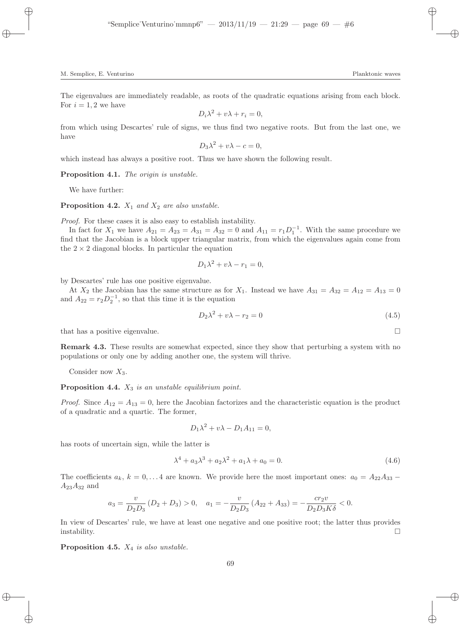$$
D_i \lambda^2 + v \lambda + r_i = 0,
$$

from which using Descartes' rule of signs, we thus find two negative roots. But from the last one, we have

$$
D_3\lambda^2 + v\lambda - c = 0,
$$

which instead has always a positive root. Thus we have shown the following result.

Proposition 4.1. The origin is unstable.

We have further:

**Proposition 4.2.**  $X_1$  and  $X_2$  are also unstable.

Proof. For these cases it is also easy to establish instability.

In fact for  $X_1$  we have  $A_{21} = A_{23} = A_{31} = A_{32} = 0$  and  $A_{11} = r_1 D_1^{-1}$ . With the same procedure we find that the Jacobian is a block upper triangular matrix, from which the eigenvalues again come from the  $2 \times 2$  diagonal blocks. In particular the equation

$$
D_1\lambda^2 + v\lambda - r_1 = 0,
$$

by Descartes' rule has one positive eigenvalue.

At  $X_2$  the Jacobian has the same structure as for  $X_1$ . Instead we have  $A_{31} = A_{32} = A_{12} = A_{13} = 0$ and  $A_{22} = r_2 D_2^{-1}$ , so that this time it is the equation

$$
D_2 \lambda^2 + v\lambda - r_2 = 0 \tag{4.5}
$$

that has a positive eigenvalue.

Remark 4.3. These results are somewhat expected, since they show that perturbing a system with no populations or only one by adding another one, the system will thrive.

Consider now  $X_3$ .

### **Proposition 4.4.**  $X_3$  is an unstable equilibrium point.

*Proof.* Since  $A_{12} = A_{13} = 0$ , here the Jacobian factorizes and the characteristic equation is the product of a quadratic and a quartic. The former,

$$
D_1\lambda^2 + v\lambda - D_1A_{11} = 0,
$$

has roots of uncertain sign, while the latter is

$$
\lambda^4 + a_3 \lambda^3 + a_2 \lambda^2 + a_1 \lambda + a_0 = 0. \tag{4.6}
$$

The coefficients  $a_k$ ,  $k = 0, \ldots 4$  are known. We provide here the most important ones:  $a_0 = A_{22}A_{33}$  –  $A_{23}A_{32}$  and

$$
a_3 = \frac{v}{D_2 D_3} (D_2 + D_3) > 0, \quad a_1 = -\frac{v}{D_2 D_3} (A_{22} + A_{33}) = -\frac{c r_2 v}{D_2 D_3 K \delta} < 0.
$$

In view of Descartes' rule, we have at least one negative and one positive root; the latter thus provides  $\Box$ instability.

Proposition 4.5.  $X_4$  is also unstable.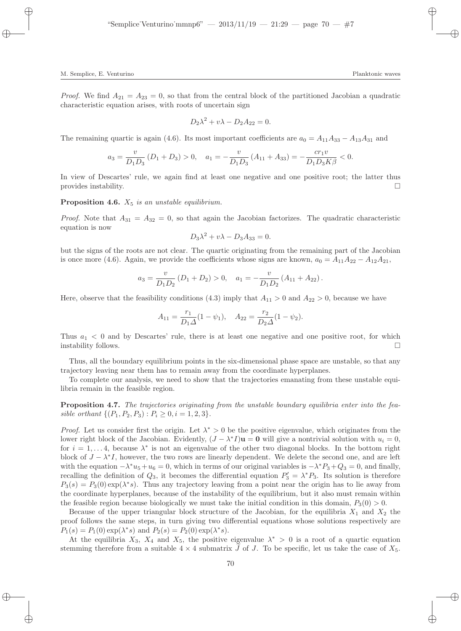*Proof.* We find  $A_{21} = A_{23} = 0$ , so that from the central block of the partitioned Jacobian a quadratic characteristic equation arises, with roots of uncertain sign

$$
D_2\lambda^2 + v\lambda - D_2A_{22} = 0.
$$

The remaining quartic is again (4.6). Its most important coefficients are  $a_0 = A_{11}A_{33} - A_{13}A_{31}$  and

$$
a_3 = \frac{v}{D_1 D_3} (D_1 + D_3) > 0, \quad a_1 = -\frac{v}{D_1 D_3} (A_{11} + A_{33}) = -\frac{c r_1 v}{D_1 D_3 K \beta} < 0.
$$

In view of Descartes' rule, we again find at least one negative and one positive root; the latter thus provides instability.

**Proposition 4.6.**  $X_5$  is an unstable equilibrium.

*Proof.* Note that  $A_{31} = A_{32} = 0$ , so that again the Jacobian factorizes. The quadratic characteristic equation is now

$$
D_3\lambda^2 + v\lambda - D_3A_{33} = 0.
$$

but the signs of the roots are not clear. The quartic originating from the remaining part of the Jacobian is once more (4.6). Again, we provide the coefficients whose signs are known,  $a_0 = A_{11}A_{22} - A_{12}A_{21}$ ,

$$
a_3 = \frac{v}{D_1 D_2} (D_1 + D_2) > 0, \quad a_1 = -\frac{v}{D_1 D_2} (A_{11} + A_{22}).
$$

Here, observe that the feasibility conditions (4.3) imply that  $A_{11} > 0$  and  $A_{22} > 0$ , because we have

$$
A_{11} = \frac{r_1}{D_1 \Delta} (1 - \psi_1), \quad A_{22} = \frac{r_2}{D_2 \Delta} (1 - \psi_2).
$$

Thus  $a_1 < 0$  and by Descartes' rule, there is at least one negative and one positive root, for which instability follows.  $\Box$ 

Thus, all the boundary equilibrium points in the six-dimensional phase space are unstable, so that any trajectory leaving near them has to remain away from the coordinate hyperplanes.

To complete our analysis, we need to show that the trajectories emanating from these unstable equilibria remain in the feasible region.

Proposition 4.7. The trajectories originating from the unstable boundary equilibria enter into the feasible orthant  $\{(P_1, P_2, P_3) : P_i \geq 0, i = 1, 2, 3\}.$ 

*Proof.* Let us consider first the origin. Let  $\lambda^* > 0$  be the positive eigenvalue, which originates from the lower right block of the Jacobian. Evidently,  $(J - \lambda^* I) \mathbf{u} = \mathbf{0}$  will give a nontrivial solution with  $u_i = 0$ , for  $i = 1, \ldots 4$ , because  $\lambda^*$  is not an eigenvalue of the other two diagonal blocks. In the bottom right block of  $J - \lambda^* I$ , however, the two rows are linearly dependent. We delete the second one, and are left with the equation  $-\lambda^* u_5 + u_6 = 0$ , which in terms of our original variables is  $-\lambda^* P_3 + Q_3 = 0$ , and finally, recalling the definition of  $Q_3$ , it becomes the differential equation  $P'_3 = \lambda^* P_3$ . Its solution is therefore  $P_3(s) = P_3(0) \exp(\lambda^* s)$ . Thus any trajectory leaving from a point near the origin has to lie away from the coordinate hyperplanes, because of the instability of the equilibrium, but it also must remain within the feasible region because biologically we must take the initial condition in this domain,  $P_3(0) > 0$ .

Because of the upper triangular block structure of the Jacobian, for the equilibria  $X_1$  and  $X_2$  the proof follows the same steps, in turn giving two differential equations whose solutions respectively are  $P_1(s) = P_1(0) \exp(\lambda^* s)$  and  $P_2(s) = P_2(0) \exp(\lambda^* s)$ .

At the equilibria  $X_3$ ,  $X_4$  and  $X_5$ , the positive eigenvalue  $\lambda^* > 0$  is a root of a quartic equation stemming therefore from a suitable  $4 \times 4$  submatrix J of J. To be specific, let us take the case of  $X_5$ .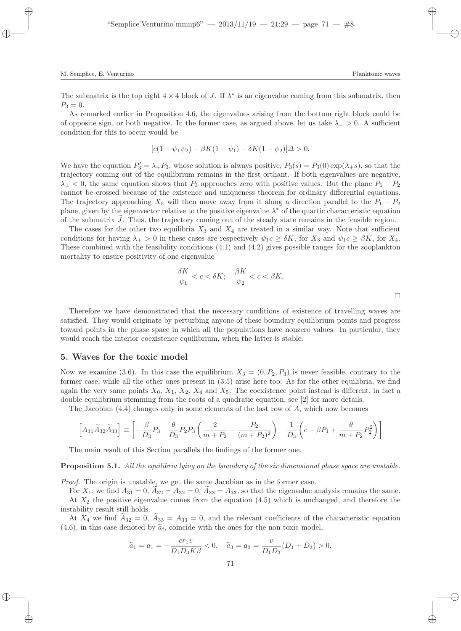The submatrix is the top right  $4 \times 4$  block of J. If  $\lambda^*$  is an eigenvalue coming from this submatrix, then  $P_3 = 0.$ 

As remarked earlier in Proposition 4.6, the eigenvalues arising from the bottom right block could be of opposite sign, or both negative. In the former case, as argued above, let us take  $\lambda_{+} > 0$ . A sufficient condition for this to occur would be

$$
[c(1 - \psi_1 \psi_2) - \beta K(1 - \psi_1) - \delta K(1 - \psi_2)]\Delta > 0.
$$

We have the equation  $P'_3 = \lambda_+ P_3$ , whose solution is always positive,  $P_3(s) = P_3(0) \exp(\lambda_+ s)$ , so that the trajectory coming out of the equilibrium remains in the first orthant. If both eigenvalues are negative,  $\lambda_+$  < 0, the same equation shows that  $P_3$  approaches zero with positive values. But the plane  $P_1 - P_2$ cannot be crossed because of the existence and uniqueness theorem for ordinary differential equations. The trajectory approaching  $X_5$  will then move away from it along a direction parallel to the  $P_1 - P_2$ plane, given by the eigenvector relative to the positive eigenvalue  $\lambda^*$  of the quartic characteristic equation of the submatrix  $J$ . Thus, the trajectory coming out of the steady state remains in the feasible region.

The cases for the other two equilibria  $X_3$  and  $X_4$  are treated in a similar way. Note that sufficient conditions for having  $\lambda_+ > 0$  in these cases are respectively  $\psi_1 c \geq \delta K$ , for  $X_3$  and  $\psi_1 c \geq \beta K$ , for  $X_4$ . These combined with the feasibility conditions (4.1) and (4.2) gives possible ranges for the zooplankton mortality to ensure positivity of one eigenvalue

$$
\frac{\delta K}{\psi_1} < c < \delta K; \quad \frac{\beta K}{\psi_2} < c < \beta K. \tag{}
$$

Therefore we have demonstrated that the necessary conditions of existence of travelling waves are satisfied. They would originate by perturbing anyone of these boundary equilibrium points and progress toward points in the phase space in which all the populations have nonzero values. In particular, they would reach the interior coexistence equilibrium, when the latter is stable.

#### 5. Waves for the toxic model

Now we examine (3.6). In this case the equilibrium  $X_3 = (0, P_2, P_3)$  is never feasible, contrary to the former case, while all the other ones present in (3.5) arise here too. As for the other equilibria, we find again the very same points  $X_0$ ,  $X_1$ ,  $X_2$ ,  $X_4$  and  $X_5$ . The coexistence point instead is different, in fact a double equilibrium stemming from the roots of a quadratic equation, see [2] for more details.

The Jacobian (4.4) changes only in some elements of the last row of A, which now becomes

$$
\left[A_{31}\widetilde{A}_{32}\widetilde{A}_{33}\right] \equiv \left[-\frac{\beta}{D_3}P_3 \quad \frac{\theta}{D_3}P_2P_3\left(\frac{2}{m+P_2}-\frac{P_2}{(m+P_2)^2}\right) \quad \frac{1}{D_3}\left(c-\beta P_1+\frac{\theta}{m+P_2}P_2^2\right)\right]
$$

The main result of this Section parallels the findings of the former one.

#### **Proposition 5.1.** All the equilibria lying on the boundary of the six dimensional phase space are unstable.

Proof. The origin is unstable, we get the same Jacobian as in the former case.

For  $X_1$ , we find  $A_{31} = 0$ ,  $A_{32} = A_{32} = 0$ ,  $A_{33} = A_{33}$ , so that the eigenvalue analysis remains the same. At  $X_2$  the positive eigenvalue comes from the equation  $(4.5)$  which is unchanged, and therefore the instability result still holds.

At  $X_4$  we find  $A_{32} = 0$ ,  $A_{33} = A_{33} = 0$ , and the relevant coefficients of the characteristic equation  $(4.6)$ , in this case denoted by  $\tilde{a}_i$ , coincide with the ones for the non toxic model,

$$
\widetilde{a}_1 = a_1 = -\frac{c r_1 v}{D_1 D_3 K \beta} < 0, \quad \widetilde{a}_3 = a_3 = \frac{v}{D_1 D_3} (D_1 + D_3) > 0,
$$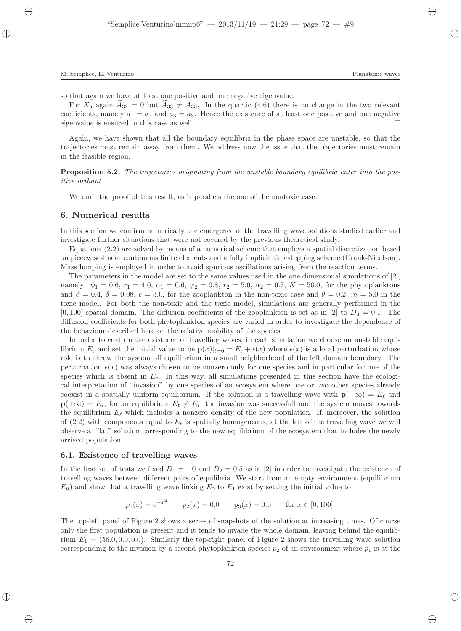so that again we have at least one positive and one negative eigenvalue.

For  $X_5$  again  $A_{32} = 0$  but  $A_{33} \neq A_{33}$ . In the quartic (4.6) there is no change in the two relevant coefficients, namely  $\tilde{a}_1 = a_1$  and  $\tilde{a}_3 = a_3$ . Hence the existence of at least one positive and one negative eigenvalue is ensured in this case as well. eigenvalue is ensured in this case as well.

Again, we have shown that all the boundary equilibria in the phase space are unstable, so that the trajectories must remain away from them. We address now the issue that the trajectories must remain in the feasible region.

Proposition 5.2. The trajectories originating from the unstable boundary equilibria enter into the positive orthant.

We omit the proof of this result, as it parallels the one of the nontoxic case.

## 6. Numerical results

In this section we confirm numerically the emergence of the travelling wave solutions studied earlier and investigate further situations that were not covered by the previous theoretical study.

Equations (2.2) are solved by means of a numerical scheme that employs a spatial discretization based on piecewise-linear continuous finite elements and a fully implicit timestepping scheme (Crank-Nicolson). Mass lumping is employed in order to avoid spurious oscillations arising from the reaction terms.

The parameters in the model are set to the same values used in the one dimensional simulations of [2], namely:  $\psi_1 = 0.6$ ,  $r_1 = 4.0$ ,  $\alpha_1 = 0.6$ ,  $\psi_2 = 0.8$ ,  $r_2 = 5.0$ ,  $\alpha_2 = 0.7$ ,  $K = 56.0$ , for the phytoplanktons and  $\beta = 0.4$ ,  $\delta = 0.08$ ,  $c = 3.0$ , for the zooplankton in the non-toxic case and  $\theta = 0.2$ ,  $m = 5.0$  in the toxic model. For both the non-toxic and the toxic model, simulations are generally performed in the  $[0, 100]$  spatial domain. The diffusion coefficients of the zooplankton is set as in [2] to  $D_3 = 0.1$ . The diffusion coefficients for both phytoplankton species are varied in order to investigate the dependence of the behaviour described here on the relative mobility of the species.

In order to confirm the existence of travelling waves, in each simulation we choose an unstable equilibrium  $E_r$  and set the initial value to be  ${\bf p}(x)|_{t=0} = E_r + \epsilon(x)$  where  $\epsilon(x)$  is a local perturbation whose role is to throw the system off equilibrium in a small neighborhood of the left domain boundary. The perturbation  $\epsilon(x)$  was always chosen to be nonzero only for one species and in particular for one of the species which is absent in  $E_r$ . In this way, all simulations presented in this section have the ecological interpretation of "invasion" by one species of an ecosystem where one or two other species already coexist in a spatially uniform equilibrium. If the solution is a travelling wave with  $\mathbf{p}(-\infty) = E_{\ell}$  and  $\mathbf{p}(+\infty) = E_r$ , for an equilibrium  $E_\ell \neq E_r$ , the invasion was successfull and the system moves towards the equilibrium  $E_{\ell}$  which includes a nonzero density of the new population. If, moreover, the solution of (2.2) with components equal to  $E_\ell$  is spatially homogeneous, at the left of the travelling wave we will observe a "flat" solution corresponding to the new equilibrium of the ecosystem that includes the newly arrived population.

#### 6.1. Existence of travelling waves

In the first set of tests we fixed  $D_1 = 1.0$  and  $D_2 = 0.5$  as in [2] in order to investigate the existence of travelling waves between different pairs of equilibria. We start from an empty environment (equilibrium  $E_0$ ) and show that a travelling wave linking  $E_0$  to  $E_1$  exist by setting the initial value to

$$
p_1(x) = e^{-x^2}
$$
  $p_2(x) = 0.0$   $p_3(x) = 0.0$  for  $x \in [0, 100]$ .

The top-left panel of Figure 2 shows a series of snapshots of the solution at increasing times. Of course only the first population is present and it tends to invade the whole domain, leaving behind the equilibrium  $E_1 = (56.0, 0.0, 0.0)$ . Similarly the top-right panel of Figure 2 shows the travelling wave solution corresponding to the invasion by a second phytoplankton species  $p_2$  of an environment where  $p_1$  is at the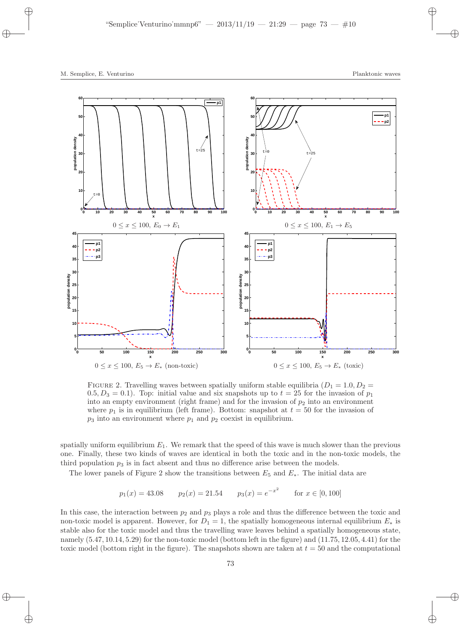

FIGURE 2. Travelling waves between spatially uniform stable equilibria  $(D_1 = 1.0, D_2 =$ 0.5,  $D_3 = 0.1$ ). Top: initial value and six snapshots up to  $t = 25$  for the invasion of  $p_1$ into an empty environment (right frame) and for the invasion of  $p_2$  into an environment where  $p_1$  is in equilibrium (left frame). Bottom: snapshot at  $t = 50$  for the invasion of  $p_3$  into an environment where  $p_1$  and  $p_2$  coexist in equilibrium.

spatially uniform equilibrium  $E_1$ . We remark that the speed of this wave is much slower than the previous one. Finally, these two kinds of waves are identical in both the toxic and in the non-toxic models, the third population  $p_3$  is in fact absent and thus no difference arise between the models.

The lower panels of Figure 2 show the transitions between  $E_5$  and  $E_*$ . The initial data are

$$
p_1(x) = 43.08
$$
  $p_2(x) = 21.54$   $p_3(x) = e^{-x^2}$  for  $x \in [0, 100]$ 

In this case, the interaction between  $p_2$  and  $p_3$  plays a role and thus the difference between the toxic and non-toxic model is apparent. However, for  $D_1 = 1$ , the spatially homogeneous internal equilibrium  $E_*$  is stable also for the toxic model and thus the travelling wave leaves behind a spatially homogeneous state, namely (5.47, 10.14, 5.29) for the non-toxic model (bottom left in the figure) and (11.75, 12.05, 4.41) for the toxic model (bottom right in the figure). The snapshots shown are taken at  $t = 50$  and the computational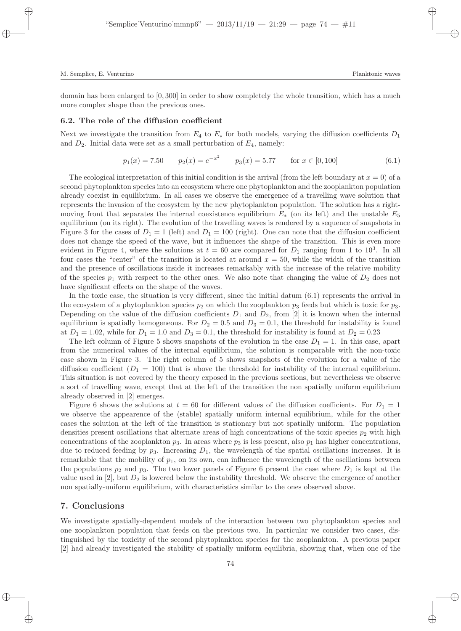domain has been enlarged to [0, 300] in order to show completely the whole transition, which has a much more complex shape than the previous ones.

#### 6.2. The role of the diffusion coefficient

Next we investigate the transition from  $E_4$  to  $E_*$  for both models, varying the diffusion coefficients  $D_1$ and  $D_2$ . Initial data were set as a small perturbation of  $E_4$ , namely:

$$
p_1(x) = 7.50 \qquad p_2(x) = e^{-x^2} \qquad p_3(x) = 5.77 \qquad \text{for } x \in [0, 100] \tag{6.1}
$$

The ecological interpretation of this initial condition is the arrival (from the left boundary at  $x = 0$ ) of a second phytoplankton species into an ecosystem where one phytoplankton and the zooplankton population already coexist in equilibrium. In all cases we observe the emergence of a travelling wave solution that represents the invasion of the ecosystem by the new phytoplankton population. The solution has a rightmoving front that separates the internal coexistence equilibrium  $E_*$  (on its left) and the unstable  $E_5$ equilibrium (on its right). The evolution of the travelling waves is rendered by a sequence of snapshots in Figure 3 for the cases of  $D_1 = 1$  (left) and  $D_1 = 100$  (right). One can note that the diffusion coefficient does not change the speed of the wave, but it influences the shape of the transition. This is even more evident in Figure 4, where the solutions at  $t = 60$  are compared for  $D_1$  ranging from 1 to 10<sup>3</sup>. In all four cases the "center" of the transition is located at around  $x = 50$ , while the width of the transition and the presence of oscillations inside it increases remarkably with the increase of the relative mobility of the species  $p_1$  with respect to the other ones. We also note that changing the value of  $D_2$  does not have significant effects on the shape of the waves.

In the toxic case, the situation is very different, since the initial datum (6.1) represents the arrival in the ecosystem of a phytoplankton species  $p_2$  on which the zooplankton  $p_3$  feeds but which is toxic for  $p_3$ . Depending on the value of the diffusion coefficients  $D_1$  and  $D_2$ , from [2] it is known when the internal equilibrium is spatially homogeneous. For  $D_2 = 0.5$  and  $D_3 = 0.1$ , the threshold for instability is found at  $D_1 = 1.02$ , while for  $D_1 = 1.0$  and  $D_3 = 0.1$ , the threshold for instability is found at  $D_2 = 0.23$ 

The left column of Figure 5 shows snapshots of the evolution in the case  $D_1 = 1$ . In this case, apart from the numerical values of the internal equilibrium, the solution is comparable with the non-toxic case shown in Figure 3. The right column of 5 shows snapshots of the evolution for a value of the diffusion coefficient  $(D_1 = 100)$  that is above the threshold for instability of the internal equilibrium. This situation is not covered by the theory exposed in the previous sections, but nevertheless we observe a sort of travelling wave, except that at the left of the transition the non spatially uniform equilibrium already observed in [2] emerges.

Figure 6 shows the solutions at  $t = 60$  for different values of the diffusion coefficients. For  $D_1 = 1$ we observe the appearence of the (stable) spatially uniform internal equilibrium, while for the other cases the solution at the left of the transition is stationary but not spatially uniform. The population densities present oscillations that alternate areas of high concentrations of the toxic species  $p_2$  with high concentrations of the zooplankton  $p_3$ . In areas where  $p_3$  is less present, also  $p_1$  has higher concentrations, due to reduced feeding by  $p_3$ . Increasing  $D_1$ , the wavelength of the spatial oscillations increases. It is remarkable that the mobility of  $p_1$ , on its own, can influence the wavelength of the oscillations between the populations  $p_2$  and  $p_3$ . The two lower panels of Figure 6 present the case where  $D_1$  is kept at the value used in  $[2]$ , but  $D_2$  is lowered below the instability threshold. We observe the emergence of another non spatially-uniform equilibrium, with characteristics similar to the ones observed above.

## 7. Conclusions

We investigate spatially-dependent models of the interaction between two phytoplankton species and one zooplankton population that feeds on the previous two. In particular we consider two cases, distinguished by the toxicity of the second phytoplankton species for the zooplankton. A previous paper [2] had already investigated the stability of spatially uniform equilibria, showing that, when one of the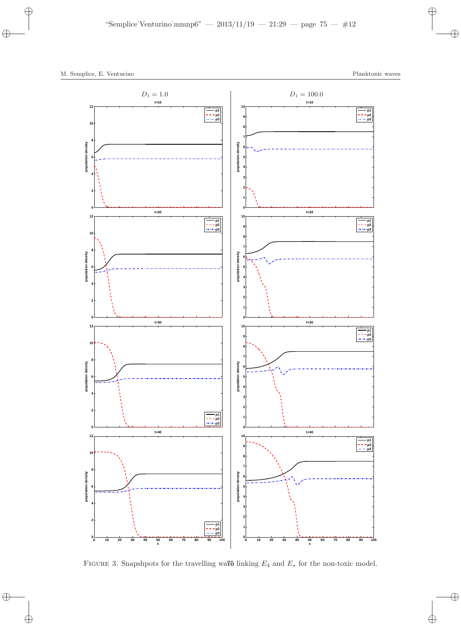

FIGURE 3. Snapshpots for the travelling wa $\mathbf{\overline{v}}$  linking  $E_4$  and  $E_*$  for the non-toxic model.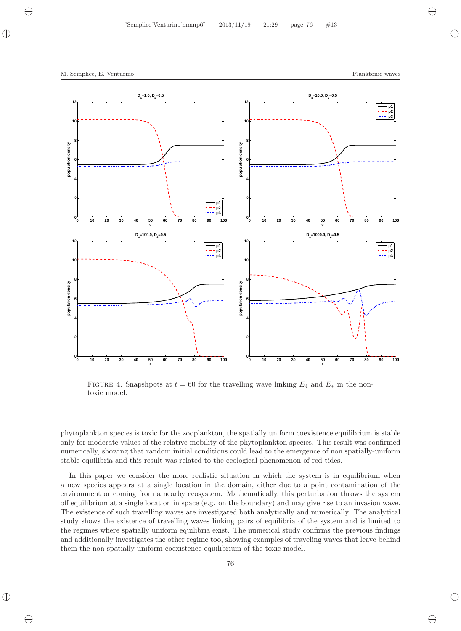

FIGURE 4. Snapshpots at  $t = 60$  for the travelling wave linking  $E_4$  and  $E_*$  in the nontoxic model.

phytoplankton species is toxic for the zooplankton, the spatially uniform coexistence equilibrium is stable only for moderate values of the relative mobility of the phytoplankton species. This result was confirmed numerically, showing that random initial conditions could lead to the emergence of non spatially-uniform stable equilibria and this result was related to the ecological phenomenon of red tides.

In this paper we consider the more realistic situation in which the system is in equilibrium when a new species appears at a single location in the domain, either due to a point contamination of the environment or coming from a nearby ecosystem. Mathematically, this perturbation throws the system off equilibrium at a single location in space (e.g. on the boundary) and may give rise to an invasion wave. The existence of such travelling waves are investigated both analytically and numerically. The analytical study shows the existence of travelling waves linking pairs of equilibria of the system and is limited to the regimes where spatially uniform equilibria exist. The numerical study confirms the previous findings and additionally investigates the other regime too, showing examples of traveling waves that leave behind them the non spatially-uniform coexistence equilibrium of the toxic model.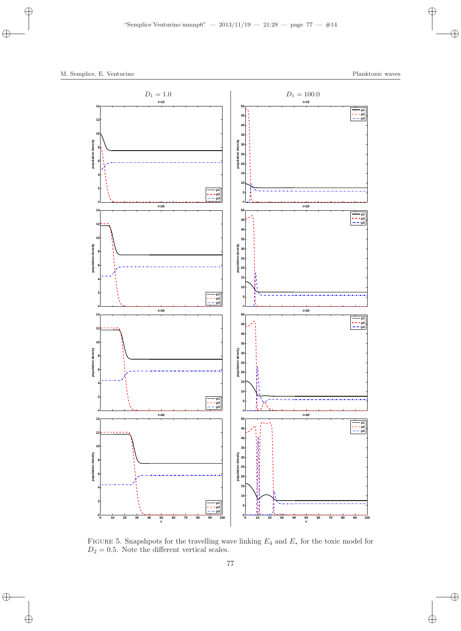

FIGURE 5. Snapshpots for the travelling wave linking  $E_4$  and  $E_*$  for the toxic model for  $D_2 = 0.5$ . Note the different vertical scales.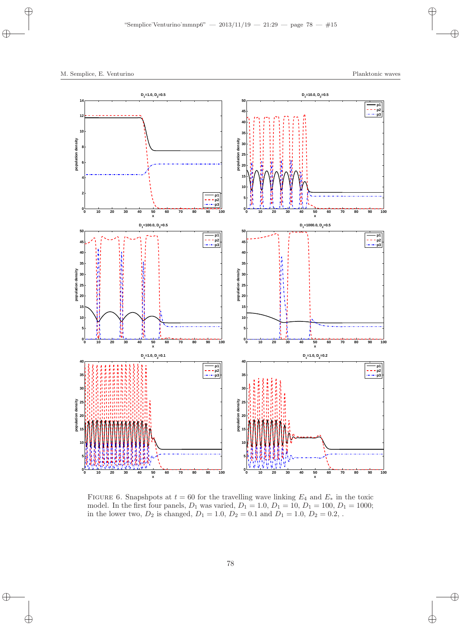

FIGURE 6. Snapshpots at  $t = 60$  for the travelling wave linking  $E_4$  and  $E_*$  in the toxic model. In the first four panels,  $D_1$  was varied,  $D_1 = 1.0, D_1 = 10, D_1 = 100, D_1 = 1000;$ in the lower two,  $D_2$  is changed,  $D_1 = 1.0$ ,  $D_2 = 0.1$  and  $D_1 = 1.0$ ,  $D_2 = 0.2$ ,.